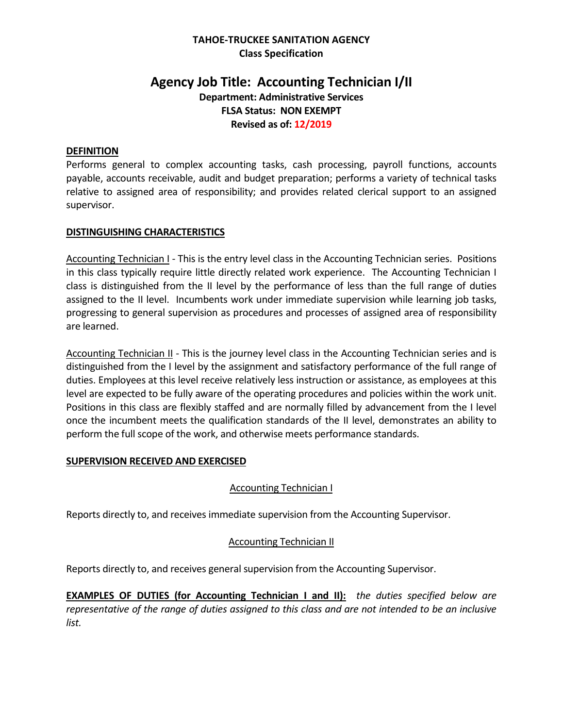## **TAHOE-TRUCKEE SANITATION AGENCY Class Specification**

# **Agency Job Title: Accounting Technician I/II Department: Administrative Services FLSA Status: NON EXEMPT Revised as of: 12/2019**

### **DEFINITION**

Performs general to complex accounting tasks, cash processing, payroll functions, accounts payable, accounts receivable, audit and budget preparation; performs a variety of technical tasks relative to assigned area of responsibility; and provides related clerical support to an assigned supervisor.

### **DISTINGUISHING CHARACTERISTICS**

Accounting Technician I - This is the entry level class in the Accounting Technician series. Positions in this class typically require little directly related work experience. The Accounting Technician I class is distinguished from the II level by the performance of less than the full range of duties assigned to the II level. Incumbents work under immediate supervision while learning job tasks, progressing to general supervision as procedures and processes of assigned area of responsibility are learned.

Accounting Technician II - This is the journey level class in the Accounting Technician series and is distinguished from the I level by the assignment and satisfactory performance of the full range of duties. Employees at this level receive relatively less instruction or assistance, as employees at this level are expected to be fully aware of the operating procedures and policies within the work unit. Positions in this class are flexibly staffed and are normally filled by advancement from the I level once the incumbent meets the qualification standards of the II level, demonstrates an ability to perform the full scope of the work, and otherwise meets performance standards.

#### **SUPERVISION RECEIVED AND EXERCISED**

### Accounting Technician I

Reports directly to, and receives immediate supervision from the Accounting Supervisor.

### Accounting Technician II

Reports directly to, and receives general supervision from the Accounting Supervisor.

**EXAMPLES OF DUTIES (for Accounting Technician I and II):** *the duties specified below are representative of the range of duties assigned to this class and are not intended to be an inclusive list.*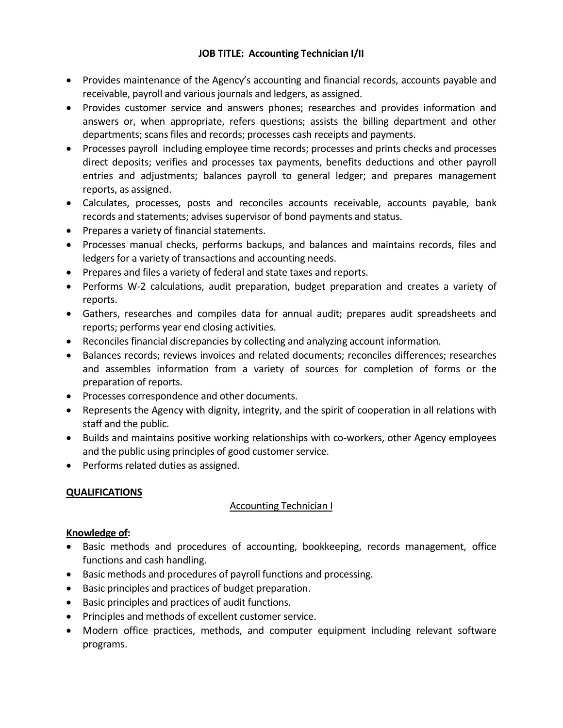- Provides maintenance of the Agency's accounting and financial records, accounts payable and receivable, payroll and various journals and ledgers, as assigned.
- Provides customer service and answers phones; researches and provides information and answers or, when appropriate, refers questions; assists the billing department and other departments; scans files and records; processes cash receipts and payments.
- Processes payroll including employee time records; processes and prints checks and processes direct deposits; verifies and processes tax payments, benefits deductions and other payroll entries and adjustments; balances payroll to general ledger; and prepares management reports, as assigned.
- Calculates, processes, posts and reconciles accounts receivable, accounts payable, bank records and statements; advises supervisor of bond payments and status.
- Prepares a variety of financial statements.
- Processes manual checks, performs backups, and balances and maintains records, files and ledgers for a variety of transactions and accounting needs.
- Prepares and files a variety of federal and state taxes and reports.
- Performs W-2 calculations, audit preparation, budget preparation and creates a variety of reports.
- Gathers, researches and compiles data for annual audit; prepares audit spreadsheets and reports; performs year end closing activities.
- Reconciles financial discrepancies by collecting and analyzing account information.
- Balances records; reviews invoices and related documents; reconciles differences; researches and assembles information from a variety of sources for completion of forms or the preparation of reports.
- Processes correspondence and other documents.
- Represents the Agency with dignity, integrity, and the spirit of cooperation in all relations with staff and the public.
- Builds and maintains positive working relationships with co-workers, other Agency employees and the public using principles of good customer service.
- Performs related duties as assigned.

# **QUALIFICATIONS**

# Accounting Technician I

# **Knowledge of:**

- Basic methods and procedures of accounting, bookkeeping, records management, office functions and cash handling.
- Basic methods and procedures of payroll functions and processing.
- Basic principles and practices of budget preparation.
- Basic principles and practices of audit functions.
- Principles and methods of excellent customer service.
- Modern office practices, methods, and computer equipment including relevant software programs.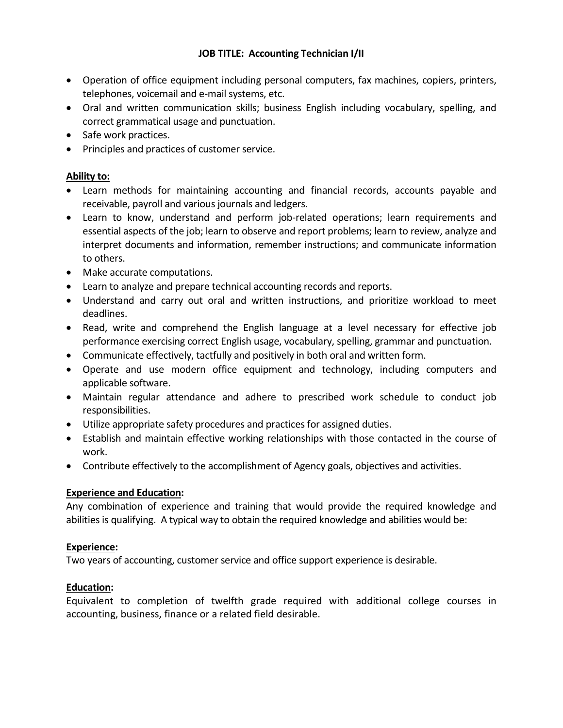- Operation of office equipment including personal computers, fax machines, copiers, printers, telephones, voicemail and e-mail systems, etc.
- Oral and written communication skills; business English including vocabulary, spelling, and correct grammatical usage and punctuation.
- Safe work practices.
- Principles and practices of customer service.

# **Ability to:**

- Learn methods for maintaining accounting and financial records, accounts payable and receivable, payroll and various journals and ledgers.
- Learn to know, understand and perform job-related operations; learn requirements and essential aspects of the job; learn to observe and report problems; learn to review, analyze and interpret documents and information, remember instructions; and communicate information to others.
- Make accurate computations.
- Learn to analyze and prepare technical accounting records and reports.
- Understand and carry out oral and written instructions, and prioritize workload to meet deadlines.
- Read, write and comprehend the English language at a level necessary for effective job performance exercising correct English usage, vocabulary, spelling, grammar and punctuation.
- Communicate effectively, tactfully and positively in both oral and written form.
- Operate and use modern office equipment and technology, including computers and applicable software.
- Maintain regular attendance and adhere to prescribed work schedule to conduct job responsibilities.
- Utilize appropriate safety procedures and practices for assigned duties.
- Establish and maintain effective working relationships with those contacted in the course of work.
- Contribute effectively to the accomplishment of Agency goals, objectives and activities.

# **Experience and Education:**

Any combination of experience and training that would provide the required knowledge and abilities is qualifying. A typical way to obtain the required knowledge and abilities would be:

# **Experience:**

Two years of accounting, customer service and office support experience is desirable.

# **Education:**

Equivalent to completion of twelfth grade required with additional college courses in accounting, business, finance or a related field desirable.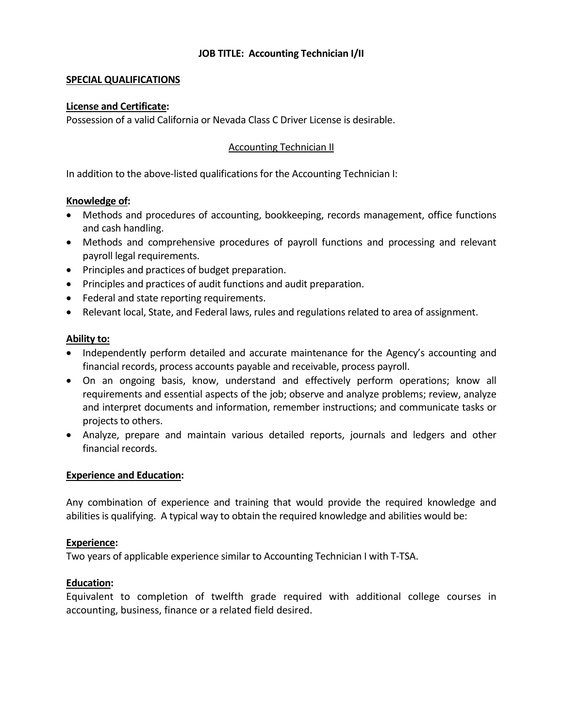### **SPECIAL QUALIFICATIONS**

#### **License and Certificate:**

Possession of a valid California or Nevada Class C Driver License is desirable.

### Accounting Technician II

In addition to the above-listed qualifications for the Accounting Technician I:

### **Knowledge of:**

- Methods and procedures of accounting, bookkeeping, records management, office functions and cash handling.
- Methods and comprehensive procedures of payroll functions and processing and relevant payroll legal requirements.
- Principles and practices of budget preparation.
- Principles and practices of audit functions and audit preparation.
- Federal and state reporting requirements.
- Relevant local, State, and Federal laws, rules and regulations related to area of assignment.

### **Ability to:**

- Independently perform detailed and accurate maintenance for the Agency's accounting and financial records, process accounts payable and receivable, process payroll.
- On an ongoing basis, know, understand and effectively perform operations; know all requirements and essential aspects of the job; observe and analyze problems; review, analyze and interpret documents and information, remember instructions; and communicate tasks or projects to others.
- Analyze, prepare and maintain various detailed reports, journals and ledgers and other financial records.

#### **Experience and Education:**

Any combination of experience and training that would provide the required knowledge and abilities is qualifying. A typical way to obtain the required knowledge and abilities would be:

#### **Experience:**

Two years of applicable experience similar to Accounting Technician I with T-TSA.

#### **Education:**

Equivalent to completion of twelfth grade required with additional college courses in accounting, business, finance or a related field desired.